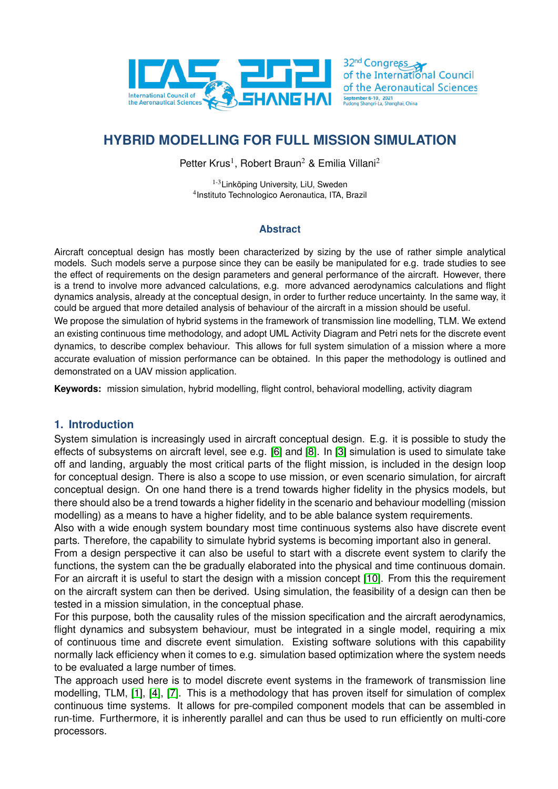

# **HYBRID MODELLING FOR FULL MISSION SIMULATION**

Petter Krus<sup>1</sup>, Robert Braun<sup>2</sup> & Emilia Villani<sup>2</sup>

<sup>1-3</sup>Linköping University, LiU, Sweden 4 Instituto Technologico Aeronautica, ITA, Brazil

## **Abstract**

Aircraft conceptual design has mostly been characterized by sizing by the use of rather simple analytical models. Such models serve a purpose since they can be easily be manipulated for e.g. trade studies to see the effect of requirements on the design parameters and general performance of the aircraft. However, there is a trend to involve more advanced calculations, e.g. more advanced aerodynamics calculations and flight dynamics analysis, already at the conceptual design, in order to further reduce uncertainty. In the same way, it could be argued that more detailed analysis of behaviour of the aircraft in a mission should be useful.

We propose the simulation of hybrid systems in the framework of transmission line modelling, TLM. We extend an existing continuous time methodology, and adopt UML Activity Diagram and Petri nets for the discrete event dynamics, to describe complex behaviour. This allows for full system simulation of a mission where a more accurate evaluation of mission performance can be obtained. In this paper the methodology is outlined and demonstrated on a UAV mission application.

**Keywords:** mission simulation, hybrid modelling, flight control, behavioral modelling, activity diagram

## **1. Introduction**

System simulation is increasingly used in aircraft conceptual design. E.g. it is possible to study the effects of subsystems on aircraft level, see e.g. [\[6\]](#page-8-0) and [\[8\]](#page-8-1). In [\[3\]](#page-8-2) simulation is used to simulate take off and landing, arguably the most critical parts of the flight mission, is included in the design loop for conceptual design. There is also a scope to use mission, or even scenario simulation, for aircraft conceptual design. On one hand there is a trend towards higher fidelity in the physics models, but there should also be a trend towards a higher fidelity in the scenario and behaviour modelling (mission modelling) as a means to have a higher fidelity, and to be able balance system requirements.

Also with a wide enough system boundary most time continuous systems also have discrete event parts. Therefore, the capability to simulate hybrid systems is becoming important also in general.

From a design perspective it can also be useful to start with a discrete event system to clarify the functions, the system can the be gradually elaborated into the physical and time continuous domain. For an aircraft it is useful to start the design with a mission concept [\[10\]](#page-8-3). From this the requirement on the aircraft system can then be derived. Using simulation, the feasibility of a design can then be tested in a mission simulation, in the conceptual phase.

For this purpose, both the causality rules of the mission specification and the aircraft aerodynamics, flight dynamics and subsystem behaviour, must be integrated in a single model, requiring a mix of continuous time and discrete event simulation. Existing software solutions with this capability normally lack efficiency when it comes to e.g. simulation based optimization where the system needs to be evaluated a large number of times.

The approach used here is to model discrete event systems in the framework of transmission line modelling, TLM, [\[1\]](#page-8-4), [\[4\]](#page-8-5), [\[7\]](#page-8-6). This is a methodology that has proven itself for simulation of complex continuous time systems. It allows for pre-compiled component models that can be assembled in run-time. Furthermore, it is inherently parallel and can thus be used to run efficiently on multi-core processors.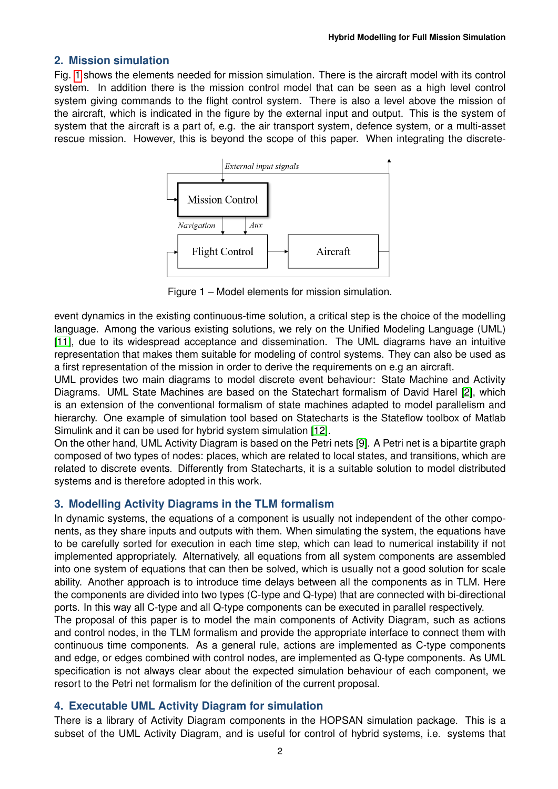#### **2. Mission simulation**

<span id="page-1-0"></span>Fig. [1](#page-1-0) shows the elements needed for mission simulation. There is the aircraft model with its control system. In addition there is the mission control model that can be seen as a high level control system giving commands to the flight control system. There is also a level above the mission of the aircraft, which is indicated in the figure by the external input and output. This is the system of system that the aircraft is a part of, e.g. the air transport system, defence system, or a multi-asset rescue mission. However, this is beyond the scope of this paper. When integrating the discrete-



Figure 1 – Model elements for mission simulation.

event dynamics in the existing continuous-time solution, a critical step is the choice of the modelling language. Among the various existing solutions, we rely on the Unified Modeling Language (UML) [\[11\]](#page-8-7), due to its widespread acceptance and dissemination. The UML diagrams have an intuitive representation that makes them suitable for modeling of control systems. They can also be used as a first representation of the mission in order to derive the requirements on e.g an aircraft.

UML provides two main diagrams to model discrete event behaviour: State Machine and Activity Diagrams. UML State Machines are based on the Statechart formalism of David Harel [\[2\]](#page-8-8), which is an extension of the conventional formalism of state machines adapted to model parallelism and hierarchy. One example of simulation tool based on Statecharts is the Stateflow toolbox of Matlab Simulink and it can be used for hybrid system simulation [\[12\]](#page-8-9).

On the other hand, UML Activity Diagram is based on the Petri nets [\[9\]](#page-8-10). A Petri net is a bipartite graph composed of two types of nodes: places, which are related to local states, and transitions, which are related to discrete events. Differently from Statecharts, it is a suitable solution to model distributed systems and is therefore adopted in this work.

## **3. Modelling Activity Diagrams in the TLM formalism**

In dynamic systems, the equations of a component is usually not independent of the other components, as they share inputs and outputs with them. When simulating the system, the equations have to be carefully sorted for execution in each time step, which can lead to numerical instability if not implemented appropriately. Alternatively, all equations from all system components are assembled into one system of equations that can then be solved, which is usually not a good solution for scale ability. Another approach is to introduce time delays between all the components as in TLM. Here the components are divided into two types (C-type and Q-type) that are connected with bi-directional ports. In this way all C-type and all Q-type components can be executed in parallel respectively.

The proposal of this paper is to model the main components of Activity Diagram, such as actions and control nodes, in the TLM formalism and provide the appropriate interface to connect them with continuous time components. As a general rule, actions are implemented as C-type components and edge, or edges combined with control nodes, are implemented as Q-type components. As UML specification is not always clear about the expected simulation behaviour of each component, we resort to the Petri net formalism for the definition of the current proposal.

## **4. Executable UML Activity Diagram for simulation**

There is a library of Activity Diagram components in the HOPSAN simulation package. This is a subset of the UML Activity Diagram, and is useful for control of hybrid systems, i.e. systems that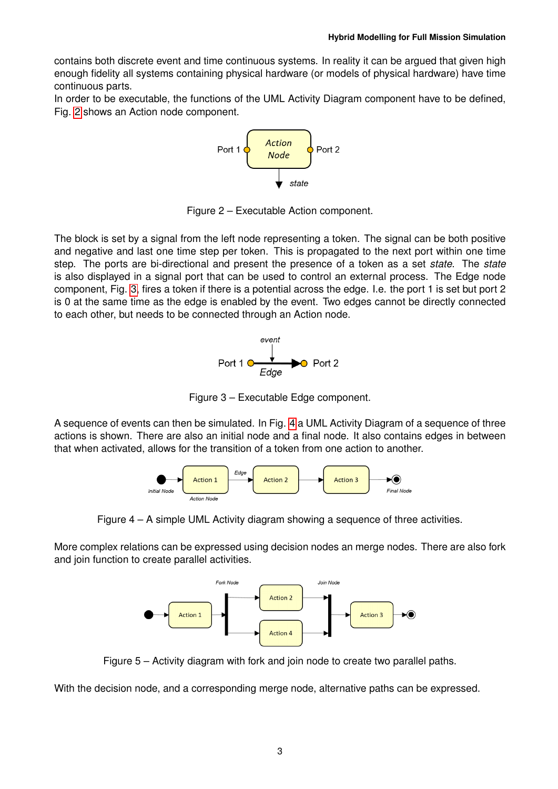contains both discrete event and time continuous systems. In reality it can be argued that given high enough fidelity all systems containing physical hardware (or models of physical hardware) have time continuous parts.

<span id="page-2-0"></span>In order to be executable, the functions of the UML Activity Diagram component have to be defined, Fig. [2](#page-2-0) shows an Action node component.



Figure 2 – Executable Action component.

<span id="page-2-1"></span>The block is set by a signal from the left node representing a token. The signal can be both positive and negative and last one time step per token. This is propagated to the next port within one time step. The ports are bi-directional and present the presence of a token as a set *state*. The *state* is also displayed in a signal port that can be used to control an external process. The Edge node component, Fig. [3,](#page-2-1) fires a token if there is a potential across the edge. I.e. the port 1 is set but port 2 is 0 at the same time as the edge is enabled by the event. Two edges cannot be directly connected to each other, but needs to be connected through an Action node.



Figure 3 – Executable Edge component.

<span id="page-2-2"></span>A sequence of events can then be simulated. In Fig. [4](#page-2-2) a UML Activity Diagram of a sequence of three actions is shown. There are also an initial node and a final node. It also contains edges in between that when activated, allows for the transition of a token from one action to another.



Figure 4 – A simple UML Activity diagram showing a sequence of three activities.

More complex relations can be expressed using decision nodes an merge nodes. There are also fork and join function to create parallel activities.



Figure 5 – Activity diagram with fork and join node to create two parallel paths.

With the decision node, and a corresponding merge node, alternative paths can be expressed.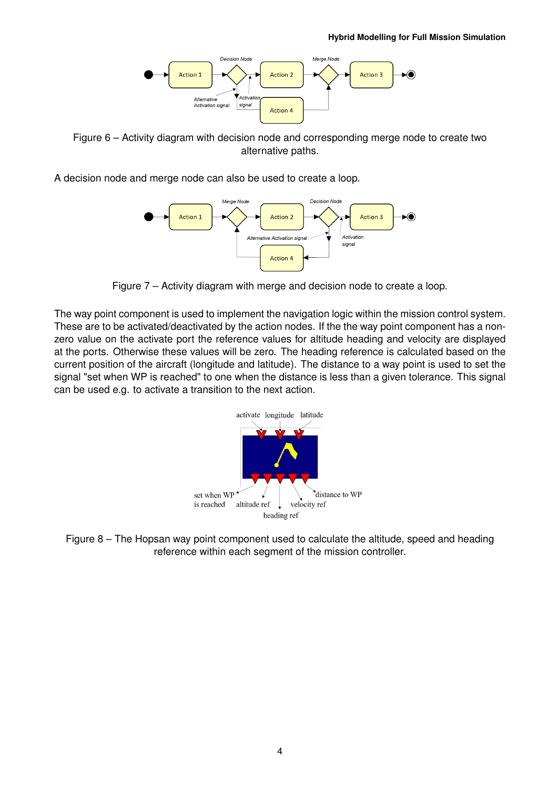

Figure 6 – Activity diagram with decision node and corresponding merge node to create two alternative paths.

A decision node and merge node can also be used to create a loop.



Figure 7 – Activity diagram with merge and decision node to create a loop.

The way point component is used to implement the navigation logic within the mission control system. These are to be activated/deactivated by the action nodes. If the the way point component has a nonzero value on the activate port the reference values for altitude heading and velocity are displayed at the ports. Otherwise these values will be zero. The heading reference is calculated based on the current position of the aircraft (longitude and latitude). The distance to a way point is used to set the signal "set when WP is reached" to one when the distance is less than a given tolerance. This signal can be used e.g. to activate a transition to the next action.



Figure 8 – The Hopsan way point component used to calculate the altitude, speed and heading reference within each segment of the mission controller.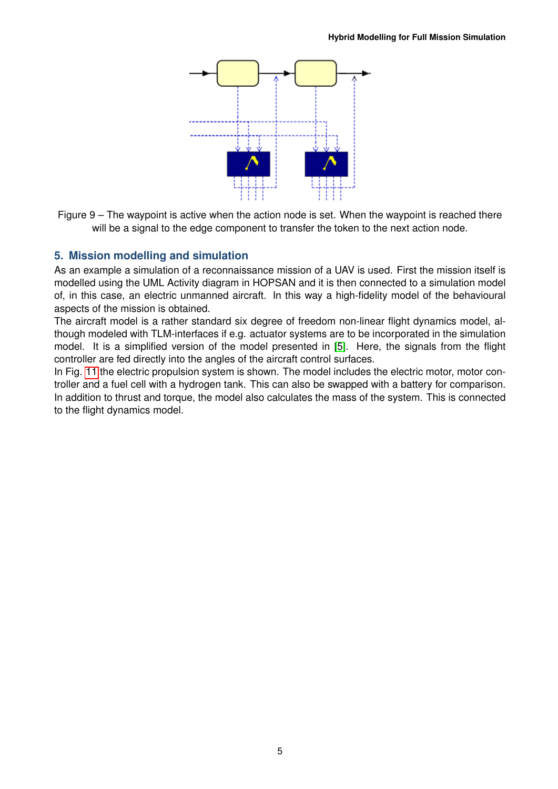

Figure 9 – The waypoint is active when the action node is set. When the waypoint is reached there will be a signal to the edge component to transfer the token to the next action node.

## **5. Mission modelling and simulation**

As an example a simulation of a reconnaissance mission of a UAV is used. First the mission itself is modelled using the UML Activity diagram in HOPSAN and it is then connected to a simulation model of, in this case, an electric unmanned aircraft. In this way a high-fidelity model of the behavioural aspects of the mission is obtained.

The aircraft model is a rather standard six degree of freedom non-linear flight dynamics model, although modeled with TLM-interfaces if e.g. actuator systems are to be incorporated in the simulation model. It is a simplified version of the model presented in [\[5\]](#page-8-11). Here, the signals from the flight controller are fed directly into the angles of the aircraft control surfaces.

In Fig. [11](#page-5-0) the electric propulsion system is shown. The model includes the electric motor, motor controller and a fuel cell with a hydrogen tank. This can also be swapped with a battery for comparison. In addition to thrust and torque, the model also calculates the mass of the system. This is connected to the flight dynamics model.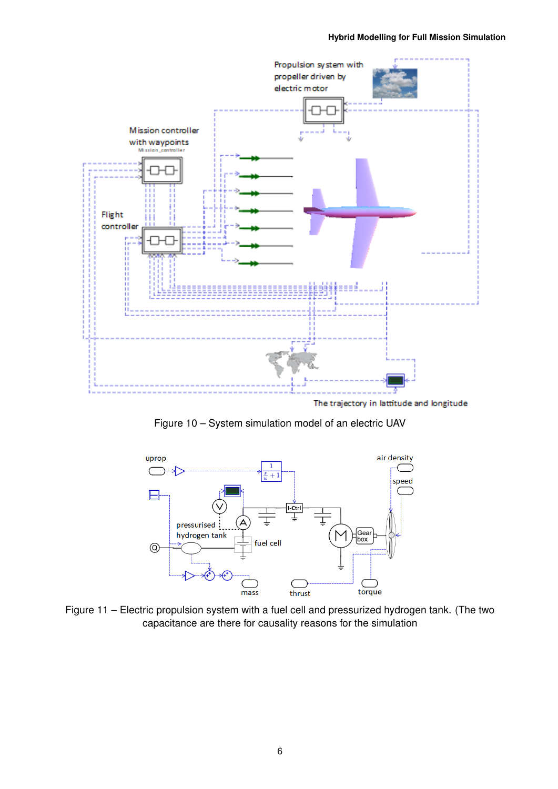#### **Hybrid Modelling for Full Mission Simulation**

<span id="page-5-1"></span>

The trajectory in lattitude and longitude

Figure 10 – System simulation model of an electric UAV

<span id="page-5-0"></span>

Figure 11 – Electric propulsion system with a fuel cell and pressurized hydrogen tank. (The two capacitance are there for causality reasons for the simulation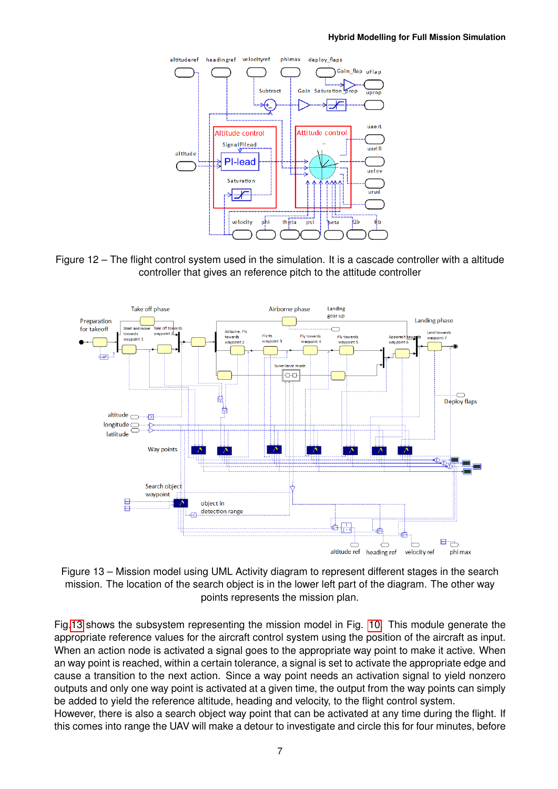



<span id="page-6-0"></span>

Figure 13 – Mission model using UML Activity diagram to represent different stages in the search mission. The location of the search object is in the lower left part of the diagram. The other way points represents the mission plan.

Fig[.13](#page-6-0) shows the subsystem representing the mission model in Fig. [10.](#page-5-1) This module generate the appropriate reference values for the aircraft control system using the position of the aircraft as input. When an action node is activated a signal goes to the appropriate way point to make it active. When an way point is reached, within a certain tolerance, a signal is set to activate the appropriate edge and cause a transition to the next action. Since a way point needs an activation signal to yield nonzero outputs and only one way point is activated at a given time, the output from the way points can simply be added to yield the reference altitude, heading and velocity, to the flight control system.

However, there is also a search object way point that can be activated at any time during the flight. If this comes into range the UAV will make a detour to investigate and circle this for four minutes, before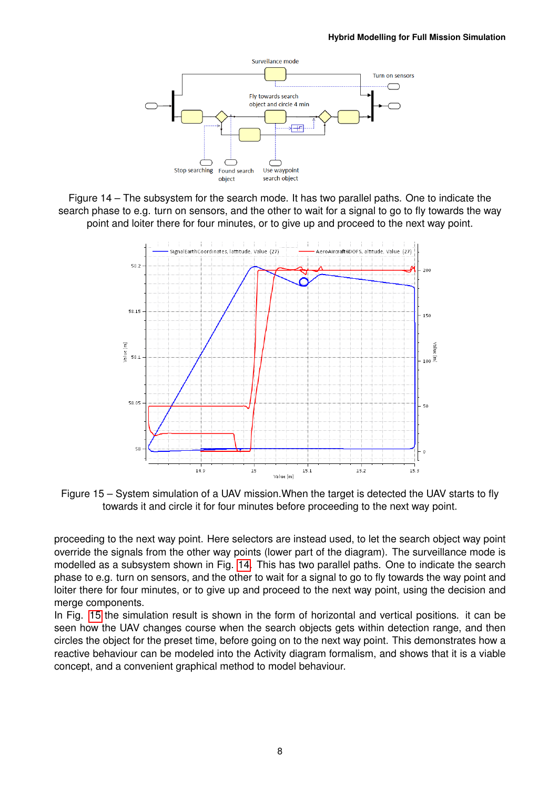<span id="page-7-0"></span>

<span id="page-7-1"></span>Figure 14 – The subsystem for the search mode. It has two parallel paths. One to indicate the search phase to e.g. turn on sensors, and the other to wait for a signal to go to fly towards the way point and loiter there for four minutes, or to give up and proceed to the next way point.



Figure 15 – System simulation of a UAV mission.When the target is detected the UAV starts to fly towards it and circle it for four minutes before proceeding to the next way point.

proceeding to the next way point. Here selectors are instead used, to let the search object way point override the signals from the other way points (lower part of the diagram). The surveillance mode is modelled as a subsystem shown in Fig. [14.](#page-7-0) This has two parallel paths. One to indicate the search phase to e.g. turn on sensors, and the other to wait for a signal to go to fly towards the way point and loiter there for four minutes, or to give up and proceed to the next way point, using the decision and merge components.

In Fig. [15](#page-7-1) the simulation result is shown in the form of horizontal and vertical positions. it can be seen how the UAV changes course when the search objects gets within detection range, and then circles the object for the preset time, before going on to the next way point. This demonstrates how a reactive behaviour can be modeled into the Activity diagram formalism, and shows that it is a viable concept, and a convenient graphical method to model behaviour.